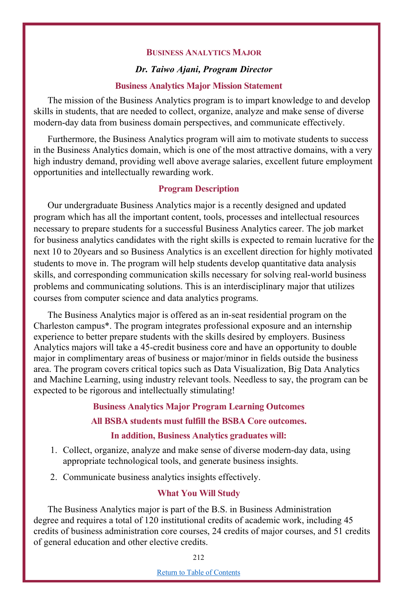#### **BUSINESS ANALYTICS MAJOR**

#### *Dr. Taiwo Ajani, Program Director*

#### **Business Analytics Major Mission Statement**

The mission of the Business Analytics program is to impart knowledge to and develop skills in students, that are needed to collect, organize, analyze and make sense of diverse modern-day data from business domain perspectives, and communicate effectively.

Furthermore, the Business Analytics program will aim to motivate students to success in the Business Analytics domain, which is one of the most attractive domains, with a very high industry demand, providing well above average salaries, excellent future employment opportunities and intellectually rewarding work.

### **Program Description**

Our undergraduate Business Analytics major is a recently designed and updated program which has all the important content, tools, processes and intellectual resources necessary to prepare students for a successful Business Analytics career. The job market for business analytics candidates with the right skills is expected to remain lucrative for the next 10 to 20years and so Business Analytics is an excellent direction for highly motivated students to move in. The program will help students develop quantitative data analysis skills, and corresponding communication skills necessary for solving real-world business problems and communicating solutions. This is an interdisciplinary major that utilizes courses from computer science and data analytics programs.

The Business Analytics major is offered as an in-seat residential program on the Charleston campus\*. The program integrates professional exposure and an internship experience to better prepare students with the skills desired by employers. Business Analytics majors will take a 45-credit business core and have an opportunity to double major in complimentary areas of business or major/minor in fields outside the business area. The program covers critical topics such as Data Visualization, Big Data Analytics and Machine Learning, using industry relevant tools. Needless to say, the program can be expected to be rigorous and intellectually stimulating!

> **Business Analytics Major Program Learning Outcomes All BSBA students must fulfill the BSBA Core outcomes. In addition, Business Analytics graduates will:**

- 1. Collect, organize, analyze and make sense of diverse modern-day data, using appropriate technological tools, and generate business insights.
- 2. Communicate business analytics insights effectively.

## **What You Will Study**

The Business Analytics major is part of the B.S. in Business Administration degree and requires a total of 120 institutional credits of academic work, including 45 credits of business administration core courses, 24 credits of major courses, and 51 credits of general education and other elective credits.

212

Return to Table of Contents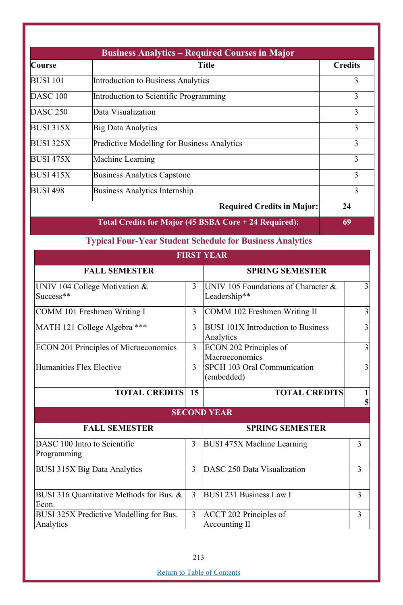| <b>Business Analytics – Required Courses in Major</b> |                                             |                |  |  |  |
|-------------------------------------------------------|---------------------------------------------|----------------|--|--|--|
| <b>Course</b>                                         | <b>Title</b>                                | <b>Credits</b> |  |  |  |
| <b>BUSI 101</b>                                       | Introduction to Business Analytics          | 3              |  |  |  |
| DASC <sub>100</sub>                                   | Introduction to Scientific Programming      | 3              |  |  |  |
| <b>DASC 250</b>                                       | Data Visualization                          | 3              |  |  |  |
| BUSI 315X                                             | <b>Big Data Analytics</b>                   | 3              |  |  |  |
| <b>BUSI 325X</b>                                      | Predictive Modelling for Business Analytics | 3              |  |  |  |
| BUSI 475X                                             | Machine Learning                            | 3              |  |  |  |
| <b>BUSI 415X</b>                                      | <b>Business Analytics Capstone</b>          | 3              |  |  |  |
| <b>BUSI 498</b>                                       | Business Analytics Internship               | 3              |  |  |  |
|                                                       | <b>Required Credits in Major:</b>           | 24             |  |  |  |

**Total Credits for Major (45 BSBA Core + 24 Required): 69**

**Typical Four-Year Student Schedule for Business Analytics**

|                                                      |               | <b>FIRST YEAR</b>                                      |                |
|------------------------------------------------------|---------------|--------------------------------------------------------|----------------|
| <b>FALL SEMESTER</b>                                 |               | <b>SPRING SEMESTER</b>                                 |                |
| UNIV 104 College Motivation &<br>Success**           | 3             | UNIV 105 Foundations of Character &<br>Leadership**    | $\overline{3}$ |
| COMM 101 Freshmen Writing I                          | 3             | COMM 102 Freshmen Writing II                           | $\overline{3}$ |
| MATH 121 College Algebra ***                         | 3             | <b>BUSI 101X Introduction to Business</b><br>Analytics | $\overline{3}$ |
| ECON 201 Principles of Microeconomics                | $\mathcal{F}$ | ECON 202 Principles of<br>Macroeconomics               | $\overline{3}$ |
| Humanities Flex Elective                             | $\mathcal{L}$ | SPCH 103 Oral Communication<br>(embedded)              | $\overline{3}$ |
| <b>TOTAL CREDITS</b>                                 | 15            | <b>TOTAL CREDITS</b>                                   | 1<br>5         |
|                                                      |               | <b>SECOND YEAR</b>                                     |                |
| <b>FALL SEMESTER</b>                                 |               | <b>SPRING SEMESTER</b>                                 |                |
| DASC 100 Intro to Scientific<br>Programming          | 3             | <b>BUSI 475X Machine Learning</b>                      | 3              |
| BUSI 315X Big Data Analytics                         | $\mathcal{E}$ | DASC 250 Data Visualization                            | $\mathcal{E}$  |
| BUSI 316 Quantitative Methods for Bus. &<br>Econ.    |               | <b>BUSI 231 Business Law I</b>                         | 3              |
| BUSI 325X Predictive Modelling for Bus.<br>Analytics | 3             | ACCT 202 Principles of<br>Accounting II                | $\mathcal{E}$  |